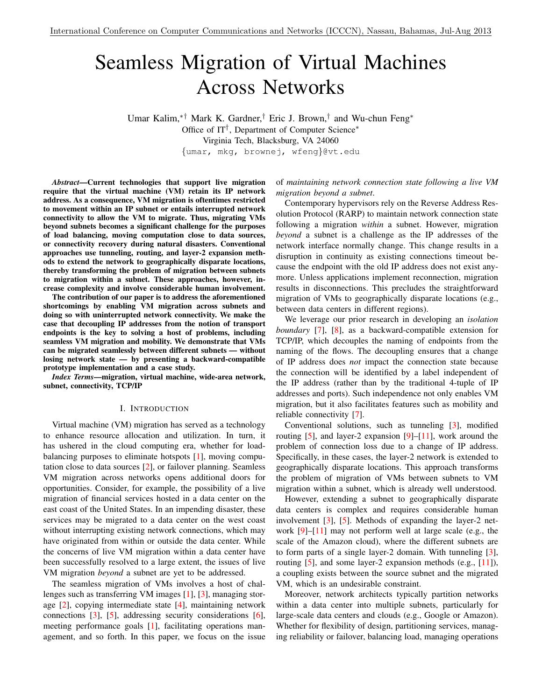# Seamless Migration of Virtual Machines Across Networks

Umar Kalim,∗† Mark K. Gardner,† Eric J. Brown,† and Wu-chun Feng<sup>∗</sup> Office of IT<sup>†</sup>, Department of Computer Science<sup>∗</sup> Virginia Tech, Blacksburg, VA 24060 {umar, mkg, brownej, wfeng}@vt.edu

*Abstract*—Current technologies that support live migration require that the virtual machine (VM) retain its IP network address. As a consequence, VM migration is oftentimes restricted to movement within an IP subnet or entails interrupted network connectivity to allow the VM to migrate. Thus, migrating VMs beyond subnets becomes a significant challenge for the purposes of load balancing, moving computation close to data sources, or connectivity recovery during natural disasters. Conventional approaches use tunneling, routing, and layer-2 expansion methods to extend the network to geographically disparate locations, thereby transforming the problem of migration between subnets to migration within a subnet. These approaches, however, increase complexity and involve considerable human involvement.

The contribution of our paper is to address the aforementioned shortcomings by enabling VM migration across subnets and doing so with uninterrupted network connectivity. We make the case that decoupling IP addresses from the notion of transport endpoints is the key to solving a host of problems, including seamless VM migration and mobility. We demonstrate that VMs can be migrated seamlessly between different subnets — without losing network state — by presenting a backward-compatible prototype implementation and a case study.

*Index Terms*—migration, virtual machine, wide-area network, subnet, connectivity, TCP/IP

### I. INTRODUCTION

<span id="page-0-0"></span>Virtual machine (VM) migration has served as a technology to enhance resource allocation and utilization. In turn, it has ushered in the cloud computing era, whether for loadbalancing purposes to eliminate hotspots [\[1\]](#page-6-0), moving computation close to data sources [\[2\]](#page-6-1), or failover planning. Seamless VM migration across networks opens additional doors for opportunities. Consider, for example, the possibility of a live migration of financial services hosted in a data center on the east coast of the United States. In an impending disaster, these services may be migrated to a data center on the west coast without interrupting existing network connections, which may have originated from within or outside the data center. While the concerns of live VM migration within a data center have been successfully resolved to a large extent, the issues of live VM migration *beyond* a subnet are yet to be addressed.

The seamless migration of VMs involves a host of challenges such as transferring VM images [\[1\]](#page-6-0), [\[3\]](#page-6-2), managing storage [\[2\]](#page-6-1), copying intermediate state [\[4\]](#page-6-3), maintaining network connections [\[3\]](#page-6-2), [\[5\]](#page-6-4), addressing security considerations [\[6\]](#page-6-5), meeting performance goals [\[1\]](#page-6-0), facilitating operations management, and so forth. In this paper, we focus on the issue of *maintaining network connection state following a live VM migration beyond a subnet*.

Contemporary hypervisors rely on the Reverse Address Resolution Protocol (RARP) to maintain network connection state following a migration *within* a subnet. However, migration *beyond* a subnet is a challenge as the IP addresses of the network interface normally change. This change results in a disruption in continuity as existing connections timeout because the endpoint with the old IP address does not exist anymore. Unless applications implement reconnection, migration results in disconnections. This precludes the straightforward migration of VMs to geographically disparate locations (e.g., between data centers in different regions).

We leverage our prior research in developing an *isolation boundary* [\[7\]](#page-6-6), [\[8\]](#page-6-7), as a backward-compatible extension for TCP/IP, which decouples the naming of endpoints from the naming of the flows. The decoupling ensures that a change of IP address does *not* impact the connection state because the connection will be identified by a label independent of the IP address (rather than by the traditional 4-tuple of IP addresses and ports). Such independence not only enables VM migration, but it also facilitates features such as mobility and reliable connectivity [\[7\]](#page-6-6).

Conventional solutions, such as tunneling [\[3\]](#page-6-2), modified routing  $[5]$ , and layer-2 expansion  $[9]$ – $[11]$ , work around the problem of connection loss due to a change of IP address. Specifically, in these cases, the layer-2 network is extended to geographically disparate locations. This approach transforms the problem of migration of VMs between subnets to VM migration within a subnet, which is already well understood.

However, extending a subnet to geographically disparate data centers is complex and requires considerable human involvement [\[3\]](#page-6-2), [\[5\]](#page-6-4). Methods of expanding the layer-2 network [\[9\]](#page-6-8)–[\[11\]](#page-6-9) may not perform well at large scale (e.g., the scale of the Amazon cloud), where the different subnets are to form parts of a single layer-2 domain. With tunneling [\[3\]](#page-6-2), routing [\[5\]](#page-6-4), and some layer-2 expansion methods (e.g., [\[11\]](#page-6-9)), a coupling exists between the source subnet and the migrated VM, which is an undesirable constraint.

Moreover, network architects typically partition networks within a data center into multiple subnets, particularly for large-scale data centers and clouds (e.g., Google or Amazon). Whether for flexibility of design, partitioning services, managing reliability or failover, balancing load, managing operations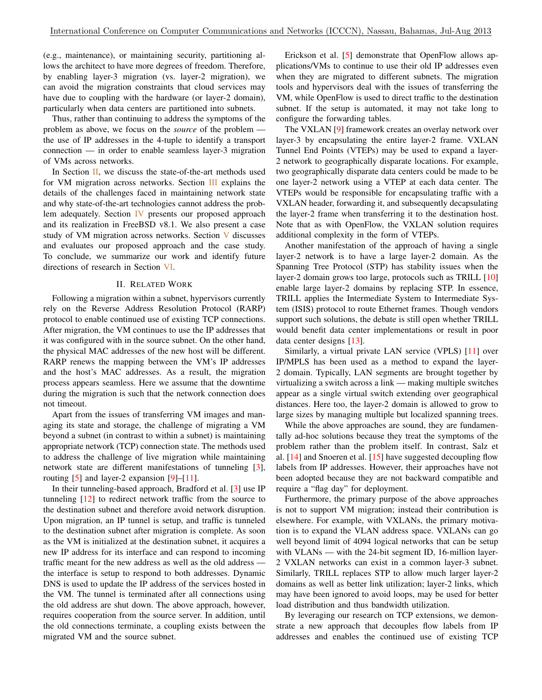(e.g., maintenance), or maintaining security, partitioning allows the architect to have more degrees of freedom. Therefore, by enabling layer-3 migration (vs. layer-2 migration), we can avoid the migration constraints that cloud services may have due to coupling with the hardware (or layer-2 domain), particularly when data centers are partitioned into subnets.

Thus, rather than continuing to address the symptoms of the problem as above, we focus on the *source* of the problem the use of IP addresses in the 4-tuple to identify a transport connection — in order to enable seamless layer-3 migration of VMs across networks.

In Section [II,](#page-1-0) we discuss the state-of-the-art methods used for VM migration across networks. Section [III](#page-2-0) explains the details of the challenges faced in maintaining network state and why state-of-the-art technologies cannot address the problem adequately. Section [IV](#page-2-1) presents our proposed approach and its realization in FreeBSD v8.1. We also present a case study of VM migration across networks. Section [V](#page-3-0) discusses and evaluates our proposed approach and the case study. To conclude, we summarize our work and identify future directions of research in Section [VI.](#page-6-10)

#### II. RELATED WORK

<span id="page-1-0"></span>Following a migration within a subnet, hypervisors currently rely on the Reverse Address Resolution Protocol (RARP) protocol to enable continued use of existing TCP connections. After migration, the VM continues to use the IP addresses that it was configured with in the source subnet. On the other hand, the physical MAC addresses of the new host will be different. RARP renews the mapping between the VM's IP addresses and the host's MAC addresses. As a result, the migration process appears seamless. Here we assume that the downtime during the migration is such that the network connection does not timeout.

Apart from the issues of transferring VM images and managing its state and storage, the challenge of migrating a VM beyond a subnet (in contrast to within a subnet) is maintaining appropriate network (TCP) connection state. The methods used to address the challenge of live migration while maintaining network state are different manifestations of tunneling [\[3\]](#page-6-2), routing  $\lceil 5 \rceil$  and layer-2 expansion  $\lceil 9 \rceil - \lceil 1 \rceil$ .

In their tunneling-based approach, Bradford et al. [\[3\]](#page-6-2) use IP tunneling [\[12\]](#page-6-11) to redirect network traffic from the source to the destination subnet and therefore avoid network disruption. Upon migration, an IP tunnel is setup, and traffic is tunneled to the destination subnet after migration is complete. As soon as the VM is initialized at the destination subnet, it acquires a new IP address for its interface and can respond to incoming traffic meant for the new address as well as the old address the interface is setup to respond to both addresses. Dynamic DNS is used to update the IP address of the services hosted in the VM. The tunnel is terminated after all connections using the old address are shut down. The above approach, however, requires cooperation from the source server. In addition, until the old connections terminate, a coupling exists between the migrated VM and the source subnet.

Erickson et al. [\[5\]](#page-6-4) demonstrate that OpenFlow allows applications/VMs to continue to use their old IP addresses even when they are migrated to different subnets. The migration tools and hypervisors deal with the issues of transferring the VM, while OpenFlow is used to direct traffic to the destination subnet. If the setup is automated, it may not take long to configure the forwarding tables.

The VXLAN [\[9\]](#page-6-8) framework creates an overlay network over layer-3 by encapsulating the entire layer-2 frame. VXLAN Tunnel End Points (VTEPs) may be used to expand a layer-2 network to geographically disparate locations. For example, two geographically disparate data centers could be made to be one layer-2 network using a VTEP at each data center. The VTEPs would be responsible for encapsulating traffic with a VXLAN header, forwarding it, and subsequently decapsulating the layer-2 frame when transferring it to the destination host. Note that as with OpenFlow, the VXLAN solution requires additional complexity in the form of VTEPs.

Another manifestation of the approach of having a single layer-2 network is to have a large layer-2 domain. As the Spanning Tree Protocol (STP) has stability issues when the layer-2 domain grows too large, protocols such as TRILL [\[10\]](#page-6-12) enable large layer-2 domains by replacing STP. In essence, TRILL applies the Intermediate System to Intermediate System (ISIS) protocol to route Ethernet frames. Though vendors support such solutions, the debate is still open whether TRILL would benefit data center implementations or result in poor data center designs [\[13\]](#page-6-13).

Similarly, a virtual private LAN service (VPLS) [\[11\]](#page-6-9) over IP/MPLS has been used as a method to expand the layer-2 domain. Typically, LAN segments are brought together by virtualizing a switch across a link — making multiple switches appear as a single virtual switch extending over geographical distances. Here too, the layer-2 domain is allowed to grow to large sizes by managing multiple but localized spanning trees.

While the above approaches are sound, they are fundamentally ad-hoc solutions because they treat the symptoms of the problem rather than the problem itself. In contrast, Salz et al. [\[14\]](#page-6-14) and Snoeren et al. [\[15\]](#page-6-15) have suggested decoupling flow labels from IP addresses. However, their approaches have not been adopted because they are not backward compatible and require a "flag day" for deployment.

Furthermore, the primary purpose of the above approaches is not to support VM migration; instead their contribution is elsewhere. For example, with VXLANs, the primary motivation is to expand the VLAN address space. VXLANs can go well beyond limit of 4094 logical networks that can be setup with VLANs — with the 24-bit segment ID, 16-million layer-2 VXLAN networks can exist in a common layer-3 subnet. Similarly, TRILL replaces STP to allow much larger layer-2 domains as well as better link utilization; layer-2 links, which may have been ignored to avoid loops, may be used for better load distribution and thus bandwidth utilization.

By leveraging our research on TCP extensions, we demonstrate a new approach that decouples flow labels from IP addresses and enables the continued use of existing TCP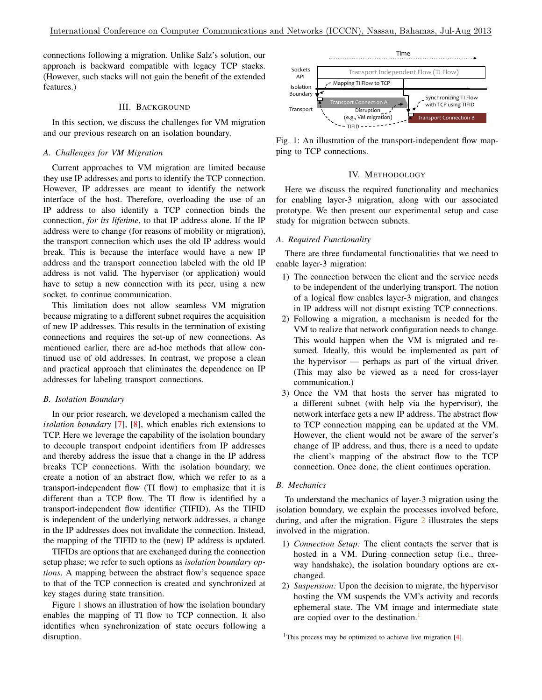connections following a migration. Unlike Salz's solution, our approach is backward compatible with legacy TCP stacks. (However, such stacks will not gain the benefit of the extended features.)

## III. BACKGROUND

<span id="page-2-0"></span>In this section, we discuss the challenges for VM migration and our previous research on an isolation boundary.

#### *A. Challenges for VM Migration*

Current approaches to VM migration are limited because they use IP addresses and ports to identify the TCP connection. However, IP addresses are meant to identify the network interface of the host. Therefore, overloading the use of an IP address to also identify a TCP connection binds the connection, *for its lifetime*, to that IP address alone. If the IP address were to change (for reasons of mobility or migration), the transport connection which uses the old IP address would break. This is because the interface would have a new IP address and the transport connection labeled with the old IP address is not valid. The hypervisor (or application) would have to setup a new connection with its peer, using a new socket, to continue communication.

This limitation does not allow seamless VM migration because migrating to a different subnet requires the acquisition of new IP addresses. This results in the termination of existing connections and requires the set-up of new connections. As mentioned earlier, there are ad-hoc methods that allow continued use of old addresses. In contrast, we propose a clean and practical approach that eliminates the dependence on IP addresses for labeling transport connections.

## *B. Isolation Boundary*

In our prior research, we developed a mechanism called the *isolation boundary* [\[7\]](#page-6-6), [\[8\]](#page-6-7), which enables rich extensions to TCP. Here we leverage the capability of the isolation boundary to decouple transport endpoint identifiers from IP addresses and thereby address the issue that a change in the IP address breaks TCP connections. With the isolation boundary, we create a notion of an abstract flow, which we refer to as a transport-independent flow (TI flow) to emphasize that it is different than a TCP flow. The TI flow is identified by a transport-independent flow identifier (TIFID). As the TIFID is independent of the underlying network addresses, a change in the IP addresses does not invalidate the connection. Instead, the mapping of the TIFID to the (new) IP address is updated.

TIFIDs are options that are exchanged during the connection setup phase; we refer to such options as *isolation boundary options*. A mapping between the abstract flow's sequence space to that of the TCP connection is created and synchronized at key stages during state transition.

Figure [1](#page-2-2) shows an illustration of how the isolation boundary enables the mapping of TI flow to TCP connection. It also identifies when synchronization of state occurs following a disruption.

<span id="page-2-2"></span>

Fig. 1: An illustration of the transport-independent flow mapping to TCP connections.

## IV. METHODOLOGY

<span id="page-2-1"></span>Here we discuss the required functionality and mechanics for enabling layer-3 migration, along with our associated prototype. We then present our experimental setup and case study for migration between subnets.

#### *A. Required Functionality*

There are three fundamental functionalities that we need to enable layer-3 migration:

- 1) The connection between the client and the service needs to be independent of the underlying transport. The notion of a logical flow enables layer-3 migration, and changes in IP address will not disrupt existing TCP connections.
- 2) Following a migration, a mechanism is needed for the VM to realize that network configuration needs to change. This would happen when the VM is migrated and resumed. Ideally, this would be implemented as part of the hypervisor — perhaps as part of the virtual driver. (This may also be viewed as a need for cross-layer communication.)
- 3) Once the VM that hosts the server has migrated to a different subnet (with help via the hypervisor), the network interface gets a new IP address. The abstract flow to TCP connection mapping can be updated at the VM. However, the client would not be aware of the server's change of IP address, and thus, there is a need to update the client's mapping of the abstract flow to the TCP connection. Once done, the client continues operation.

## *B. Mechanics*

To understand the mechanics of layer-3 migration using the isolation boundary, we explain the processes involved before, during, and after the migration. Figure  $2$  illustrates the steps involved in the migration.

- 1) *Connection Setup:* The client contacts the server that is hosted in a VM. During connection setup (i.e., threeway handshake), the isolation boundary options are exchanged.
- 2) *Suspension:* Upon the decision to migrate, the hypervisor hosting the VM suspends the VM's activity and records ephemeral state. The VM image and intermediate state are copied over to the destination.<sup>[1](#page-2-3)</sup>

<span id="page-2-3"></span><sup>&</sup>lt;sup>1</sup>This process may be optimized to achieve live migration [\[4\]](#page-6-3).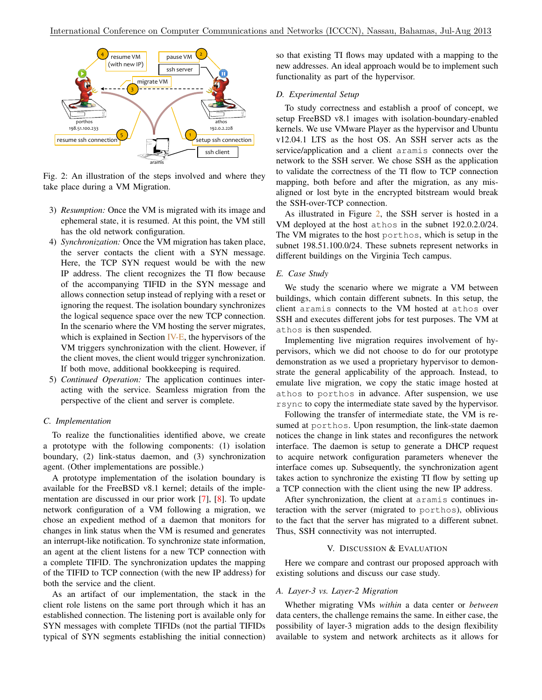<span id="page-3-1"></span>

Fig. 2: An illustration of the steps involved and where they take place during a VM Migration.

- 3) *Resumption:* Once the VM is migrated with its image and ephemeral state, it is resumed. At this point, the VM still has the old network configuration.
- 4) *Synchronization:* Once the VM migration has taken place, the server contacts the client with a SYN message. Here, the TCP SYN request would be with the new IP address. The client recognizes the TI flow because of the accompanying TIFID in the SYN message and allows connection setup instead of replying with a reset or ignoring the request. The isolation boundary synchronizes the logical sequence space over the new TCP connection. In the scenario where the VM hosting the server migrates, which is explained in Section  $IV-E$ , the hypervisors of the VM triggers synchronization with the client. However, if the client moves, the client would trigger synchronization. If both move, additional bookkeeping is required.
- 5) *Continued Operation:* The application continues interacting with the service. Seamless migration from the perspective of the client and server is complete.

## *C. Implementation*

To realize the functionalities identified above, we create a prototype with the following components: (1) isolation boundary, (2) link-status daemon, and (3) synchronization agent. (Other implementations are possible.)

A prototype implementation of the isolation boundary is available for the FreeBSD v8.1 kernel; details of the implementation are discussed in our prior work [\[7\]](#page-6-6), [\[8\]](#page-6-7). To update network configuration of a VM following a migration, we chose an expedient method of a daemon that monitors for changes in link status when the VM is resumed and generates an interrupt-like notification. To synchronize state information, an agent at the client listens for a new TCP connection with a complete TIFID. The synchronization updates the mapping of the TIFID to TCP connection (with the new IP address) for both the service and the client.

As an artifact of our implementation, the stack in the client role listens on the same port through which it has an established connection. The listening port is available only for SYN messages with complete TIFIDs (not the partial TIFIDs typical of SYN segments establishing the initial connection) so that existing TI flows may updated with a mapping to the new addresses. An ideal approach would be to implement such functionality as part of the hypervisor.

#### *D. Experimental Setup*

To study correctness and establish a proof of concept, we setup FreeBSD v8.1 images with isolation-boundary-enabled kernels. We use VMware Player as the hypervisor and Ubuntu v12.04.1 LTS as the host OS. An SSH server acts as the service/application and a client aramis connects over the network to the SSH server. We chose SSH as the application to validate the correctness of the TI flow to TCP connection mapping, both before and after the migration, as any misaligned or lost byte in the encrypted bitstream would break the SSH-over-TCP connection.

As illustrated in Figure [2,](#page-3-1) the SSH server is hosted in a VM deployed at the host athos in the subnet 192.0.2.0/24. The VM migrates to the host porthos, which is setup in the subnet 198.51.100.0/24. These subnets represent networks in different buildings on the Virginia Tech campus.

### <span id="page-3-2"></span>*E. Case Study*

We study the scenario where we migrate a VM between buildings, which contain different subnets. In this setup, the client aramis connects to the VM hosted at athos over SSH and executes different jobs for test purposes. The VM at athos is then suspended.

Implementing live migration requires involvement of hypervisors, which we did not choose to do for our prototype demonstration as we used a proprietary hypervisor to demonstrate the general applicability of the approach. Instead, to emulate live migration, we copy the static image hosted at athos to porthos in advance. After suspension, we use rsync to copy the intermediate state saved by the hypervisor.

Following the transfer of intermediate state, the VM is resumed at porthos. Upon resumption, the link-state daemon notices the change in link states and reconfigures the network interface. The daemon is setup to generate a DHCP request to acquire network configuration parameters whenever the interface comes up. Subsequently, the synchronization agent takes action to synchronize the existing TI flow by setting up a TCP connection with the client using the new IP address.

After synchronization, the client at aramis continues interaction with the server (migrated to porthos), oblivious to the fact that the server has migrated to a different subnet. Thus, SSH connectivity was not interrupted.

## V. DISCUSSION & EVALUATION

<span id="page-3-0"></span>Here we compare and contrast our proposed approach with existing solutions and discuss our case study.

#### *A. Layer-3 vs. Layer-2 Migration*

Whether migrating VMs *within* a data center or *between* data centers, the challenge remains the same. In either case, the possibility of layer-3 migration adds to the design flexibility available to system and network architects as it allows for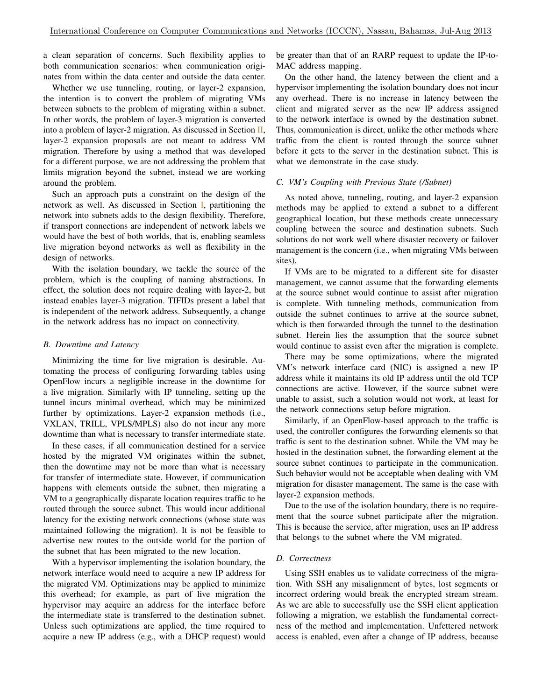a clean separation of concerns. Such flexibility applies to both communication scenarios: when communication originates from within the data center and outside the data center.

Whether we use tunneling, routing, or layer-2 expansion, the intention is to convert the problem of migrating VMs between subnets to the problem of migrating within a subnet. In other words, the problem of layer-3 migration is converted into a problem of layer-2 migration. As discussed in Section  $II$ , layer-2 expansion proposals are not meant to address VM migration. Therefore by using a method that was developed for a different purpose, we are not addressing the problem that limits migration beyond the subnet, instead we are working around the problem.

Such an approach puts a constraint on the design of the network as well. As discussed in Section [I,](#page-0-0) partitioning the network into subnets adds to the design flexibility. Therefore, if transport connections are independent of network labels we would have the best of both worlds, that is, enabling seamless live migration beyond networks as well as flexibility in the design of networks.

With the isolation boundary, we tackle the source of the problem, which is the coupling of naming abstractions. In effect, the solution does not require dealing with layer-2, but instead enables layer-3 migration. TIFIDs present a label that is independent of the network address. Subsequently, a change in the network address has no impact on connectivity.

#### *B. Downtime and Latency*

Minimizing the time for live migration is desirable. Automating the process of configuring forwarding tables using OpenFlow incurs a negligible increase in the downtime for a live migration. Similarly with IP tunneling, setting up the tunnel incurs minimal overhead, which may be minimized further by optimizations. Layer-2 expansion methods (i.e., VXLAN, TRILL, VPLS/MPLS) also do not incur any more downtime than what is necessary to transfer intermediate state.

In these cases, if all communication destined for a service hosted by the migrated VM originates within the subnet, then the downtime may not be more than what is necessary for transfer of intermediate state. However, if communication happens with elements outside the subnet, then migrating a VM to a geographically disparate location requires traffic to be routed through the source subnet. This would incur additional latency for the existing network connections (whose state was maintained following the migration). It is not be feasible to advertise new routes to the outside world for the portion of the subnet that has been migrated to the new location.

With a hypervisor implementing the isolation boundary, the network interface would need to acquire a new IP address for the migrated VM. Optimizations may be applied to minimize this overhead; for example, as part of live migration the hypervisor may acquire an address for the interface before the intermediate state is transferred to the destination subnet. Unless such optimizations are applied, the time required to acquire a new IP address (e.g., with a DHCP request) would be greater than that of an RARP request to update the IP-to-MAC address mapping.

On the other hand, the latency between the client and a hypervisor implementing the isolation boundary does not incur any overhead. There is no increase in latency between the client and migrated server as the new IP address assigned to the network interface is owned by the destination subnet. Thus, communication is direct, unlike the other methods where traffic from the client is routed through the source subnet before it gets to the server in the destination subnet. This is what we demonstrate in the case study.

## *C. VM's Coupling with Previous State (/Subnet)*

As noted above, tunneling, routing, and layer-2 expansion methods may be applied to extend a subnet to a different geographical location, but these methods create unnecessary coupling between the source and destination subnets. Such solutions do not work well where disaster recovery or failover management is the concern (i.e., when migrating VMs between sites).

If VMs are to be migrated to a different site for disaster management, we cannot assume that the forwarding elements at the source subnet would continue to assist after migration is complete. With tunneling methods, communication from outside the subnet continues to arrive at the source subnet, which is then forwarded through the tunnel to the destination subnet. Herein lies the assumption that the source subnet would continue to assist even after the migration is complete.

There may be some optimizations, where the migrated VM's network interface card (NIC) is assigned a new IP address while it maintains its old IP address until the old TCP connections are active. However, if the source subnet were unable to assist, such a solution would not work, at least for the network connections setup before migration.

Similarly, if an OpenFlow-based approach to the traffic is used, the controller configures the forwarding elements so that traffic is sent to the destination subnet. While the VM may be hosted in the destination subnet, the forwarding element at the source subnet continues to participate in the communication. Such behavior would not be acceptable when dealing with VM migration for disaster management. The same is the case with layer-2 expansion methods.

Due to the use of the isolation boundary, there is no requirement that the source subnet participate after the migration. This is because the service, after migration, uses an IP address that belongs to the subnet where the VM migrated.

## *D. Correctness*

Using SSH enables us to validate correctness of the migration. With SSH any misalignment of bytes, lost segments or incorrect ordering would break the encrypted stream stream. As we are able to successfully use the SSH client application following a migration, we establish the fundamental correctness of the method and implementation. Unfettered network access is enabled, even after a change of IP address, because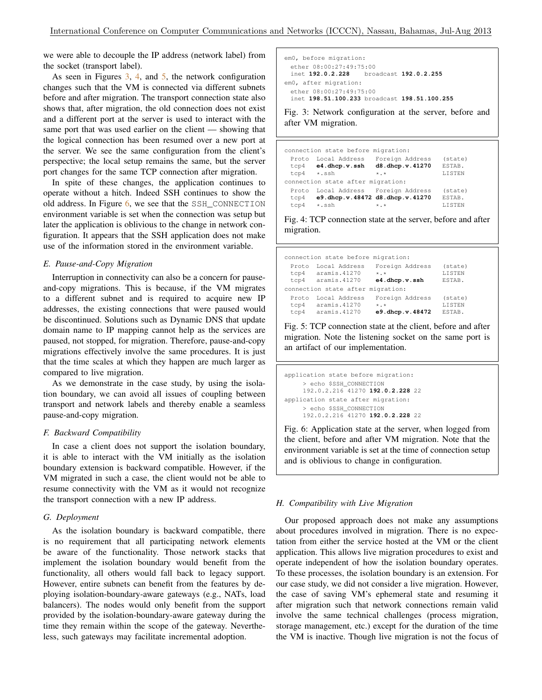we were able to decouple the IP address (network label) from the socket (transport label).

As seen in Figures [3,](#page-5-0) [4,](#page-5-0) and [5,](#page-5-0) the network configuration changes such that the VM is connected via different subnets before and after migration. The transport connection state also shows that, after migration, the old connection does not exist and a different port at the server is used to interact with the same port that was used earlier on the client — showing that the logical connection has been resumed over a new port at the server. We see the same configuration from the client's perspective; the local setup remains the same, but the server port changes for the same TCP connection after migration.

In spite of these changes, the application continues to operate without a hitch. Indeed SSH continues to show the old address. In Figure [6,](#page-5-0) we see that the SSH\_CONNECTION environment variable is set when the connection was setup but later the application is oblivious to the change in network configuration. It appears that the SSH application does not make use of the information stored in the environment variable.

## *E. Pause-and-Copy Migration*

Interruption in connectivity can also be a concern for pauseand-copy migrations. This is because, if the VM migrates to a different subnet and is required to acquire new IP addresses, the existing connections that were paused would be discontinued. Solutions such as Dynamic DNS that update domain name to IP mapping cannot help as the services are paused, not stopped, for migration. Therefore, pause-and-copy migrations effectively involve the same procedures. It is just that the time scales at which they happen are much larger as compared to live migration.

As we demonstrate in the case study, by using the isolation boundary, we can avoid all issues of coupling between transport and network labels and thereby enable a seamless pause-and-copy migration.

#### *F. Backward Compatibility*

In case a client does not support the isolation boundary, it is able to interact with the VM initially as the isolation boundary extension is backward compatible. However, if the VM migrated in such a case, the client would not be able to resume connectivity with the VM as it would not recognize the transport connection with a new IP address.

## *G. Deployment*

As the isolation boundary is backward compatible, there is no requirement that all participating network elements be aware of the functionality. Those network stacks that implement the isolation boundary would benefit from the functionality, all others would fall back to legacy support. However, entire subnets can benefit from the features by deploying isolation-boundary-aware gateways (e.g., NATs, load balancers). The nodes would only benefit from the support provided by the isolation-boundary-aware gateway during the time they remain within the scope of the gateway. Nevertheless, such gateways may facilitate incremental adoption.

<span id="page-5-0"></span>

Fig. 3: Network configuration at the server, before and after VM migration.

| connection state before migration: |                                 |                 |                  |  |
|------------------------------------|---------------------------------|-----------------|------------------|--|
| Proto                              | Local Address                   | Foreign Address | (state)          |  |
| tcp4                               | e4.dhcp.v.ssh                   | d8.dhcp.v.41270 | ESTAB.           |  |
| tcp4                               | *.ssh                           | $*$ . *         | LISTEN           |  |
| connection state after migration:  |                                 |                 |                  |  |
| Proto                              | Local Address Foreign Address   | $*$ . $*$       | $(\text{state})$ |  |
| tcp4                               | e9.dhcp.v.48472 d8.dhcp.v.41270 |                 | ESTAB.           |  |
| tcp4                               | *.ssh                           |                 | <b>LISTEN</b>    |  |

Fig. 4: TCP connection state at the server, before and after migration.

| connection state before migration: |                                                    |                                               |                             |  |
|------------------------------------|----------------------------------------------------|-----------------------------------------------|-----------------------------|--|
| Proto<br>tcp4                      | Local Address<br>aramis.41270<br>tcp4 aramis.41270 | Foreign Address<br>$*$ . *<br>e4.dhcp.v.ssh   | (state)<br>LISTEN<br>ESTAB. |  |
| connection state after migration:  |                                                    |                                               |                             |  |
| Proto<br>tcp4<br>tcp4              | Local Address<br>aramis.41270<br>aramis.41270      | Foreign Address<br>$*$ . *<br>e9.dhcp.v.48472 | (state)<br>LISTEN<br>ESTAB. |  |

Fig. 5: TCP connection state at the client, before and after migration. Note the listening socket on the same port is an artifact of our implementation.

```
application state before migration:
    > echo $SSH_CONNECTION
    192.0.2.216 41270 192.0.2.228 22
application state after migration:
     > echo $SSH_CONNECTION
     192.0.2.216 41270 192.0.2.228 22
```
Fig. 6: Application state at the server, when logged from the client, before and after VM migration. Note that the environment variable is set at the time of connection setup and is oblivious to change in configuration.

#### *H. Compatibility with Live Migration*

Our proposed approach does not make any assumptions about procedures involved in migration. There is no expectation from either the service hosted at the VM or the client application. This allows live migration procedures to exist and operate independent of how the isolation boundary operates. To these processes, the isolation boundary is an extension. For our case study, we did not consider a live migration. However, the case of saving VM's ephemeral state and resuming it after migration such that network connections remain valid involve the same technical challenges (process migration, storage management, etc.) except for the duration of the time the VM is inactive. Though live migration is not the focus of